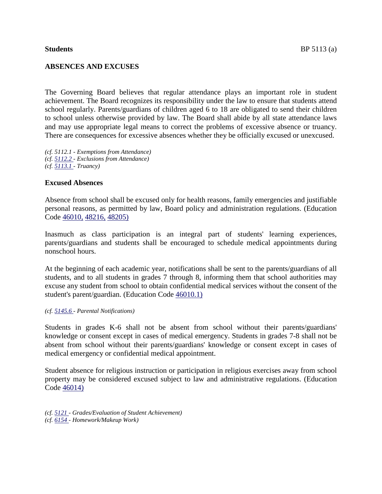# **ABSENCES AND EXCUSES**

The Governing Board believes that regular attendance plays an important role in student achievement. The Board recognizes its responsibility under the law to ensure that students attend school regularly. Parents/guardians of children aged 6 to 18 are obligated to send their children to school unless otherwise provided by law. The Board shall abide by all state attendance laws and may use appropriate legal means to correct the problems of excessive absence or truancy. There are consequences for excessive absences whether they be officially excused or unexcused.

*(cf. 5112.1 - Exemptions from Attendance) (cf. [5112.2 -](http://www.gamutonline.net/4daction/web_loaddisplaypolicy/325835/5) Exclusions from Attendance) (cf. [5113.1 -](http://www.gamutonline.net/4daction/web_loaddisplaypolicy/325839/5) Truancy)* 

## **Excused Absences**

Absence from school shall be excused only for health reasons, family emergencies and justifiable personal reasons, as permitted by law, Board policy and administration regulations. (Education Code [46010,](http://www.gamutonline.net/4daction/web_loaddisplaypolicy/138125/5) [48216,](http://www.gamutonline.net/4daction/web_loaddisplaypolicy/136108/5) [48205\)](http://www.gamutonline.net/4daction/web_loaddisplaypolicy/138126/5)

Inasmuch as class participation is an integral part of students' learning experiences, parents/guardians and students shall be encouraged to schedule medical appointments during nonschool hours.

At the beginning of each academic year, notifications shall be sent to the parents/guardians of all students, and to all students in grades 7 through 8, informing them that school authorities may excuse any student from school to obtain confidential medical services without the consent of the student's parent/guardian. (Education Code [46010.1\)](http://www.gamutonline.net/4daction/web_loaddisplaypolicy/131967/5)

#### *(cf. [5145.6 -](http://www.gamutonline.net/4daction/web_loaddisplaypolicy/325922/5) Parental Notifications)*

Students in grades K-6 shall not be absent from school without their parents/guardians' knowledge or consent except in cases of medical emergency. Students in grades 7-8 shall not be absent from school without their parents/guardians' knowledge or consent except in cases of medical emergency or confidential medical appointment.

Student absence for religious instruction or participation in religious exercises away from school property may be considered excused subject to law and administrative regulations. (Education Code [46014\)](http://www.gamutonline.net/4daction/web_loaddisplaypolicy/131974/5)

*(cf. [5121 -](http://www.gamutonline.net/4daction/web_loaddisplaypolicy/325850/5) Grades/Evaluation of Student Achievement) (cf. [6154 -](http://www.gamutonline.net/4daction/web_loaddisplaypolicy/325962/5) Homework/Makeup Work)*